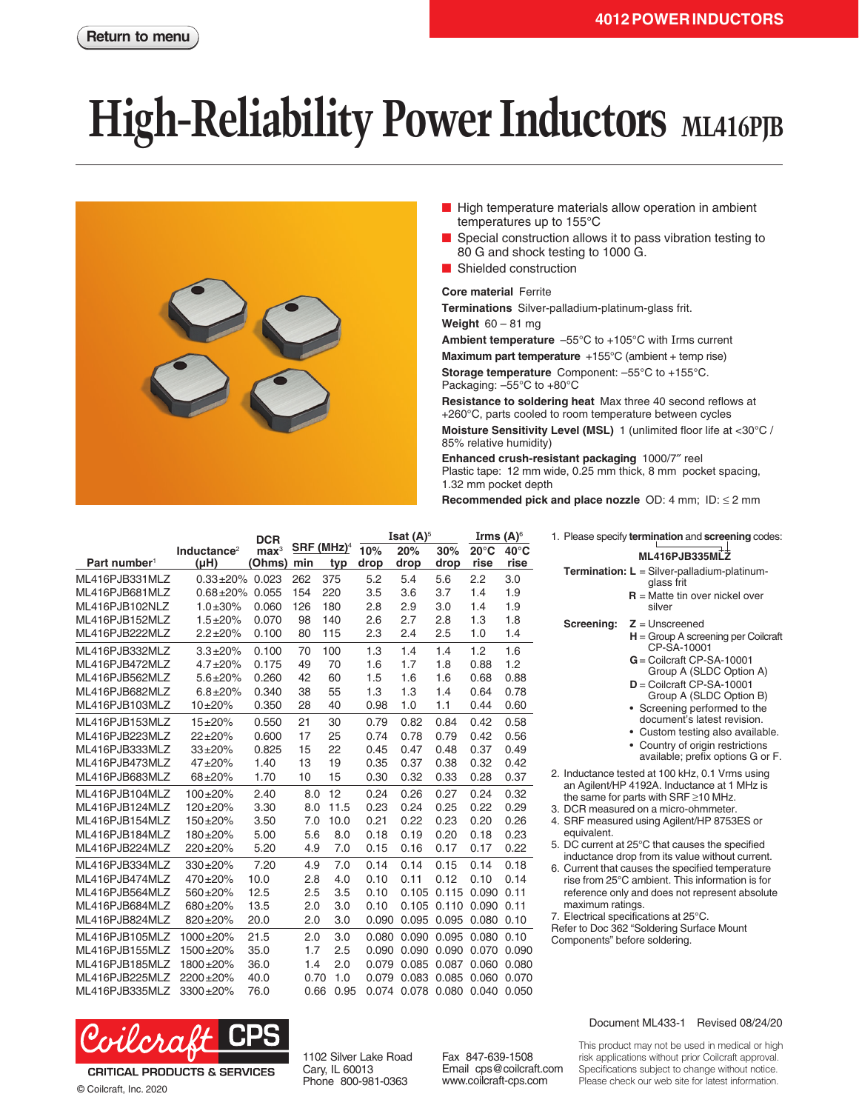## **High-Reliability Power Inductors** ML416PJB



- High temperature materials allow operation in ambient temperatures up to 155°C
- Special construction allows it to pass vibration testing to 80 G and shock testing to 1000 G.
- Shielded construction

## **Core material** Ferrite

**Terminations** Silver-palladium-platinum-glass frit.

**Weight** 60 – 81 mg

**Ambient temperature** –55°C to +105°C with Irms current

**Maximum part temperature** +155°C (ambient + temp rise) **Storage temperature** Component: –55°C to +155°C. Packaging: –55°C to +80°C

**Resistance to soldering heat** Max three 40 second reflows at +260°C, parts cooled to room temperature between cycles

**Moisture Sensitivity Level (MSL)** 1 (unlimited floor life at <30°C / 85% relative humidity)

**Enhanced crush-resistant packaging** 1000/7″ reel Plastic tape: 12 mm wide, 0.25 mm thick, 8 mm pocket spacing, 1.32 mm pocket depth

**Recommended pick and place nozzle** OD: 4 mm; ID: ≤ 2 mm

equivalent.

maximum ratings.

7. Electrical specifications at 25°C. Refer to Doc 362 "Soldering Surface Mount

Components" before soldering.

1. Please specify **termination** and **screening** codes: **ML416PJB335MLZ Termination: L** = Silver-palladium-platinumglass frit

silver

2. Inductance tested at 100 kHz, 0.1 Vrms using an Agilent/HP 4192A. Inductance at 1 MHz is the same for parts with SRF ≥10 MHz. 3. DCR measured on a micro-ohmmeter. 4. SRF measured using Agilent/HP 8753ES or

5. DC current at 25°C that causes the specified inductance drop from its value without current. 6. Current that causes the specified temperature rise from 25°C ambient. This information is for reference only and does not represent absolute

**Screening: Z** = Unscreened

**R** = Matte tin over nickel over

CP-SA-10001 **G**= Coilcraft CP-SA-10001 Group A (SLDC Option A) **D** = Coilcraft CP-SA-10001 Group A (SLDC Option B) • Screening performed to the document's latest revision. • Custom testing also available. • Country of origin restrictions available; prefix options G or F.

**H** = Group A screening per Coilcraft

|                          |                                 | <b>DCR</b>                 |      |                          | Isat $(A)^5$ |             |             | Irms $(A)^\circ$       |                        |
|--------------------------|---------------------------------|----------------------------|------|--------------------------|--------------|-------------|-------------|------------------------|------------------------|
| Part number <sup>1</sup> | Inductance <sup>2</sup><br>(uH) | $\mathbf{max}^3$<br>(Ohms) | min  | $SRF$ (MHz) <sup>4</sup> | 10%<br>drop  | 20%<br>drop | 30%<br>drop | $20^{\circ}$ C<br>rise | $40^{\circ}$ C<br>rise |
|                          |                                 |                            |      | typ                      |              |             |             |                        |                        |
| ML416PJB331MLZ           | $0.33 + 20%$                    | 0.023                      | 262  | 375                      | 5.2          | 5.4         | 5.6         | 2.2                    | 3.0                    |
| ML416PJB681MLZ           | $0.68 + 20%$                    | 0.055                      | 154  | 220                      | 3.5          | 3.6         | 3.7         | 1.4                    | 1.9                    |
| ML416PJB102NLZ           | $1.0 + 30%$                     | 0.060                      | 126  | 180                      | 2.8          | 2.9         | 3.0         | 1.4                    | 1.9                    |
| ML416PJB152MLZ           | $1.5 + 20%$                     | 0.070                      | 98   | 140                      | 2.6          | 2.7         | 2.8         | 1.3                    | 1.8                    |
| ML416PJB222MLZ           | $2.2 + 20%$                     | 0.100                      | 80   | 115                      | 2.3          | 2.4         | 2.5         | 1.0                    | 1.4                    |
| ML416PJB332MLZ           | $3.3 + 20%$                     | 0.100                      | 70   | 100                      | 1.3          | 1.4         | 1.4         | 1.2                    | 1.6                    |
| ML416PJB472MLZ           | $4.7 + 20%$                     | 0.175                      | 49   | 70                       | 1.6          | 1.7         | 1.8         | 0.88                   | 1.2                    |
| ML416PJB562MLZ           | $5.6 + 20%$                     | 0.260                      | 42   | 60                       | 1.5          | 1.6         | 1.6         | 0.68                   | 0.88                   |
| ML416PJB682MLZ           | $6.8 + 20%$                     | 0.340                      | 38   | 55                       | 1.3          | 1.3         | 1.4         | 0.64                   | 0.78                   |
| ML416PJB103MLZ           | $10+20%$                        | 0.350                      | 28   | 40                       | 0.98         | 1.0         | 1.1         | 0.44                   | 0.60                   |
| ML416PJB153MLZ           | $15 + 20%$                      | 0.550                      | 21   | 30                       | 0.79         | 0.82        | 0.84        | 0.42                   | 0.58                   |
| ML416PJB223MLZ           | $22 + 20%$                      | 0.600                      | 17   | 25                       | 0.74         | 0.78        | 0.79        | 0.42                   | 0.56                   |
| ML416PJB333MLZ           | $33 + 20%$                      | 0.825                      | 15   | 22                       | 0.45         | 0.47        | 0.48        | 0.37                   | 0.49                   |
| ML416PJB473MLZ           | $47 + 20%$                      | 1.40                       | 13   | 19                       | 0.35         | 0.37        | 0.38        | 0.32                   | 0.42                   |
| ML416PJB683MLZ           | 68±20%                          | 1.70                       | 10   | 15                       | 0.30         | 0.32        | 0.33        | 0.28                   | 0.37                   |
| ML416PJB104MLZ           | $100+20%$                       | 2.40                       | 8.0  | 12                       | 0.24         | 0.26        | 0.27        | 0.24                   | 0.32                   |
| ML416PJB124MLZ           | $120+20%$                       | 3.30                       | 8.0  | 11.5                     | 0.23         | 0.24        | 0.25        | 0.22                   | 0.29                   |
| ML416PJB154MLZ           | $150+20%$                       | 3.50                       | 7.0  | 10.0                     | 0.21         | 0.22        | 0.23        | 0.20                   | 0.26                   |
| ML416PJB184MLZ           | 180±20%                         | 5.00                       | 5.6  | 8.0                      | 0.18         | 0.19        | 0.20        | 0.18                   | 0.23                   |
| ML416PJB224MLZ           | 220±20%                         | 5.20                       | 4.9  | 7.0                      | 0.15         | 0.16        | 0.17        | 0.17                   | 0.22                   |
| ML416PJB334MLZ           | $330+20%$                       | 7.20                       | 4.9  | 7.0                      | 0.14         | 0.14        | 0.15        | 0.14                   | 0.18                   |
| ML416PJB474MLZ           | 470±20%                         | 10.0                       | 2.8  | 4.0                      | 0.10         | 0.11        | 0.12        | 0.10                   | 0.14                   |
| ML416PJB564MLZ           | 560±20%                         | 12.5                       | 2.5  | 3.5                      | 0.10         | 0.105       | 0.115       | 0.090                  | 0.11                   |
| ML416PJB684MLZ           | 680±20%                         | 13.5                       | 2.0  | 3.0                      | 0.10         | 0.105       | 0.110       | 0.090                  | 0.11                   |
| ML416PJB824MLZ           | 820±20%                         | 20.0                       | 2.0  | 3.0                      | 0.090        | 0.095       | 0.095       | 0.080                  | 0.10                   |
| ML416PJB105MLZ           | 1000±20%                        | 21.5                       | 2.0  | 3.0                      | 0.080        | 0.090       | 0.095       | 0.080                  | 0.10                   |
| ML416PJB155MLZ           | 1500±20%                        | 35.0                       | 1.7  | 2.5                      | 0.090        | 0.090       | 0.090       | 0.070                  | 0.090                  |
| ML416PJB185MLZ           | 1800±20%                        | 36.0                       | 1.4  | 2.0                      | 0.079        | 0.085       | 0.087       | 0.060                  | 0.080                  |
| ML416PJB225MLZ           | 2200+20%                        | 40.0                       | 0.70 | 1.0                      | 0.079        | 0.083       | 0.085       | 0.060                  | 0.070                  |
| ML416PJB335MLZ           | 3300±20%                        | 76.0                       | 0.66 | 0.95                     | 0.074        | 0.078       | 0.080       | 0.040                  | 0.050                  |



**CRITICAL PRODUCTS & SERVICES** © Coilcraft, Inc. 2020

1102 Silver Lake Road Cary, IL 60013 Phone 800-981-0363

Fax 847-639-1508 Email cps@coilcraft.com www.coilcraft-cps.com

## Document ML433-1 Revised 08/24/20

This product may not be used in medical or high risk applications without prior Coilcraft approval. Specifications subject to change without notice. Please check our web site for latest information.